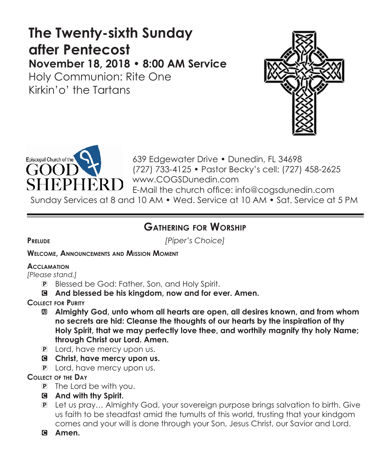# **The Twenty-sixth Sunday after Pentecost November 18, 2018 • 8:00 AM Service**

Holy Communion: Rite One Kirkin'o' the Tartans





639 Edgewater Drive • Dunedin, FL 34698 (727) 733-4125 • Pastor Becky's cell: (727) 458-2625 www.COGSDunedin.com E-Mail the church office: info@cogsdunedin.com Sunday Services at 8 and 10 AM • Wed. Service at 10 AM • Sat. Service at 5 PM

# **Gathering for Worship**

**Prelude** *[Piper's Choice]*

**Welcome, Announcements and Mission Moment**

# **Acclamation**

*[Please stand.]* 

- P Blessed be God: Father, Son, and Holy Spirit.
- C **And blessed be his kingdom, now and for ever. Amen.**

**Collect for Purity**

- a **Almighty God, unto whom all hearts are open, all desires known, and from whom no secrets are hid: Cleanse the thoughts of our hearts by the inspiration of thy Holy Spirit, that we may perfectly love thee, and worthily magnify thy holy Name; through Christ our Lord. Amen.**
- P Lord, have mercy upon us.
- C **Christ, have mercy upon us.**
- P Lord, have mercy upon us.

# **Collect of the Day**

- P The Lord be with you.
- C **And with thy Spirit.**
- P Let us pray… Almighty God, your sovereign purpose brings salvation to birth. Give us faith to be steadfast amid the tumults of this world, trusting that your kindgom comes and your will is done through your Son, Jesus Christ, our Savior and Lord.
- C **Amen.**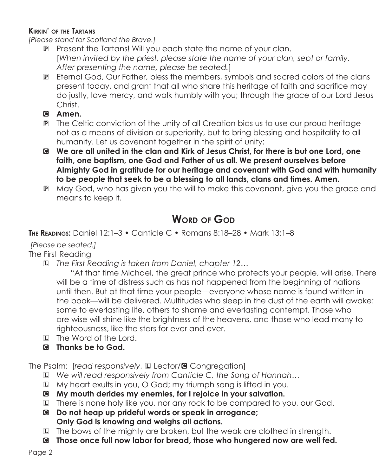## **Kirkin' of the Tartans**

*[Please stand for Scotland the Brave.]*

- P Present the Tartans! Will you each state the name of your clan. [*When invited by the priest, please state the name of your clan, sept or family. After presenting the name, please be seated.*]
- P Eternal God, Our Father, bless the members, symbols and sacred colors of the clans present today, and grant that all who share this heritage of faith and sacrifice may do justly, love mercy, and walk humbly with you; through the grace of our Lord Jesus Christ.
- C **Amen.**
- P The Celtic conviction of the unity of all Creation bids us to use our proud heritage not as a means of division or superiority, but to bring blessing and hospitality to all humanity. Let us covenant together in the spirit of unity:
- C **We are all united in the clan and Kirk of Jesus Christ, for there is but one Lord, one faith, one baptism, one God and Father of us all. We present ourselves before Almighty God in gratitude for our heritage and covenant with God and with humanity to be people that seek to be a blessing to all lands, clans and times. Amen.**
- P May God, who has given you the will to make this covenant, give you the grace and means to keep it.

# **Word of God**

**The Readings:** Daniel 12:1–3 • Canticle C • Romans 8:18–28 • Mark 13:1–8

# *[Please be seated.]*

The First Reading

L *The First Reading is taken from Daniel, chapter 12…*

 "At that time Michael, the great prince who protects your people, will arise. There will be a time of distress such as has not happened from the beginning of nations until then. But at that time your people—everyone whose name is found written in the book—will be delivered. Multitudes who sleep in the dust of the earth will awake: some to everlasting life, others to shame and everlasting contempt. Those who are wise will shine like the brightness of the heavens, and those who lead many to righteousness, like the stars for ever and ever.

- L The Word of the Lord.
- C **Thanks be to God.**

The Psalm: [*read responsively*, La Lector/<sup>8</sup> Congregation]

- L *We will read responsively from Canticle C, the Song of Hannah…*
- L My heart exults in you, O God; my triumph song is lifted in you.
- C **My mouth derides my enemies, for I rejoice in your salvation.**
- L There is none holy like you, nor any rock to be compared to you, our God.
- C **Do not heap up prideful words or speak in arrogance; Only God is knowing and weighs all actions.**
- L The bows of the mighty are broken, but the weak are clothed in strength.
- C **Those once full now labor for bread, those who hungered now are well fed.**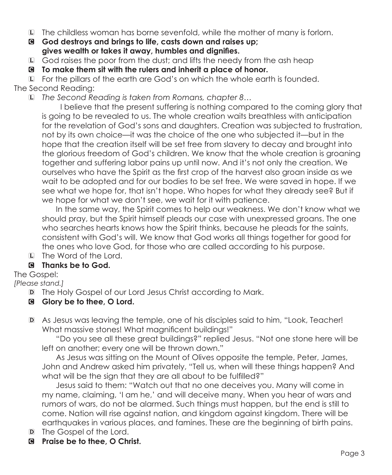- L The childless woman has borne sevenfold, while the mother of many is forlorn.
- C **God destroys and brings to life, casts down and raises up; gives wealth or takes it away, humbles and dignifies.**
- L God raises the poor from the dust; and lifts the needy from the ash heap
- C **To make them sit with the rulers and inherit a place of honor.**

L For the pillars of the earth are God's on which the whole earth is founded.

The Second Reading:

L *The Second Reading is taken from Romans, chapter 8…*

 I believe that the present suffering is nothing compared to the coming glory that is going to be revealed to us. The whole creation waits breathless with anticipation for the revelation of God's sons and daughters. Creation was subjected to frustration, not by its own choice—it was the choice of the one who subjected it—but in the hope that the creation itself will be set free from slavery to decay and brought into the glorious freedom of God's children. We know that the whole creation is groaning together and suffering labor pains up until now. And it's not only the creation. We ourselves who have the Spirit as the first crop of the harvest also groan inside as we wait to be adopted and for our bodies to be set free. We were saved in hope. If we see what we hope for, that isn't hope. Who hopes for what they already see? But if we hope for what we don't see, we wait for it with patience.

 In the same way, the Spirit comes to help our weakness. We don't know what we should pray, but the Spirit himself pleads our case with unexpressed groans. The one who searches hearts knows how the Spirit thinks, because he pleads for the saints, consistent with God's will. We know that God works all things together for good for the ones who love God, for those who are called according to his purpose.

L The Word of the Lord.

# C **Thanks be to God.**

The Gospel:

*[Please stand.]*

- D The Holy Gospel of our Lord Jesus Christ according to Mark.
- C **Glory be to thee, O Lord.**
- D As Jesus was leaving the temple, one of his disciples said to him, "Look, Teacher! What massive stones! What magnificent buildings!"

"Do you see all these great buildings?" replied Jesus. "Not one stone here will be left on another; every one will be thrown down."

 As Jesus was sitting on the Mount of Olives opposite the temple, Peter, James, John and Andrew asked him privately, "Tell us, when will these things happen? And what will be the sign that they are all about to be fulfilled?"

 Jesus said to them: "Watch out that no one deceives you. Many will come in my name, claiming, 'I am he,' and will deceive many. When you hear of wars and rumors of wars, do not be alarmed. Such things must happen, but the end is still to come. Nation will rise against nation, and kingdom against kingdom. There will be earthquakes in various places, and famines. These are the beginning of birth pains.

- D The Gospel of the Lord.
- C **Praise be to thee, O Christ.**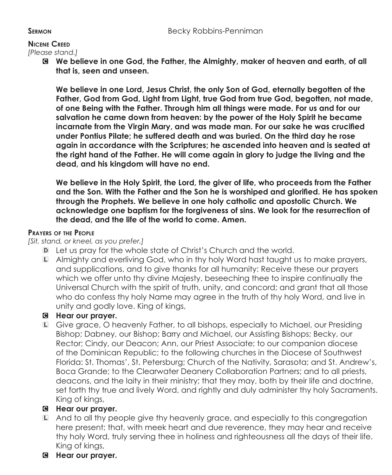#### **Nicene Creed**

*[Please stand.]*

C **We believe in one God, the Father, the Almighty, maker of heaven and earth, of all that is, seen and unseen.** 

 **We believe in one Lord, Jesus Christ, the only Son of God, eternally begotten of the Father, God from God, Light from Light, true God from true God, begotten, not made, of one Being with the Father. Through him all things were made. For us and for our salvation he came down from heaven: by the power of the Holy Spirit he became incarnate from the Virgin Mary, and was made man. For our sake he was crucified under Pontius Pilate; he suffered death and was buried. On the third day he rose again in accordance with the Scriptures; he ascended into heaven and is seated at the right hand of the Father. He will come again in glory to judge the living and the dead, and his kingdom will have no end.**

 **We believe in the Holy Spirit, the Lord, the giver of life, who proceeds from the Father and the Son. With the Father and the Son he is worshiped and glorified. He has spoken through the Prophets. We believe in one holy catholic and apostolic Church. We acknowledge one baptism for the forgiveness of sins. We look for the resurrection of the dead, and the life of the world to come. Amen.**

#### **Prayers of the People**

#### *[Sit, stand, or kneel, as you prefer.]*

- D Let us pray for the whole state of Christ's Church and the world.
- L Almighty and everliving God, who in thy holy Word hast taught us to make prayers, and supplications, and to give thanks for all humanity: Receive these our prayers which we offer unto thy divine Majesty, beseeching thee to inspire continually the Universal Church with the spirit of truth, unity, and concord; and grant that all those who do confess thy holy Name may agree in the truth of thy holy Word, and live in unity and godly love. King of kings,

## C **Hear our prayer.**

L Give grace, O heavenly Father, to all bishops, especially to Michael, our Presiding Bishop; Dabney, our Bishop; Barry and Michael, our Assisting Bishops; Becky, our Rector; Cindy, our Deacon; Ann, our Priest Associate; to our companion diocese of the Dominican Republic; to the following churches in the Diocese of Southwest Florida: St. Thomas', St. Petersburg; Church of the Nativity, Sarasota; and St. Andrew's, Boca Grande; to the Clearwater Deanery Collaboration Partners; and to all priests, deacons, and the laity in their ministry; that they may, both by their life and doctrine, set forth thy true and lively Word, and rightly and duly administer thy holy Sacraments. King of kings,

# C **Hear our prayer.**

- L And to all thy people give thy heavenly grace, and especially to this congregation here present; that, with meek heart and due reverence, they may hear and receive thy holy Word, truly serving thee in holiness and righteousness all the days of their life. King of kings,
- C **Hear our prayer.**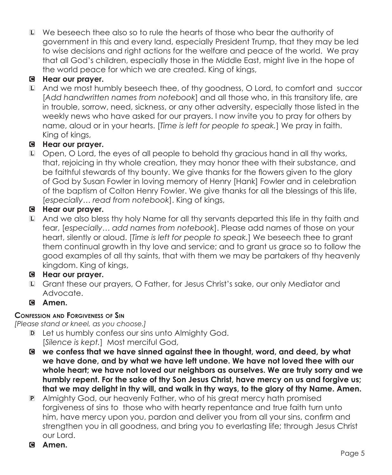L We beseech thee also so to rule the hearts of those who bear the authority of government in this and every land, especially President Trump, that they may be led to wise decisions and right actions for the welfare and peace of the world. We pray that all God's children, especially those in the Middle East, might live in the hope of the world peace for which we are created. King of kings,

# C **Hear our prayer.**

L And we most humbly beseech thee, of thy goodness, O Lord, to comfort and succor [*Add handwritten names from notebook*] and all those who, in this transitory life, are in trouble, sorrow, need, sickness, or any other adversity, especially those listed in the weekly news who have asked for our prayers. I now invite you to pray for others by name, aloud or in your hearts. [*Time is left for people to speak.*] We pray in faith. King of kings,

# C **Hear our prayer.**

L Open, O Lord, the eyes of all people to behold thy gracious hand in all thy works, that, rejoicing in thy whole creation, they may honor thee with their substance, and be faithful stewards of thy bounty. We give thanks for the flowers given to the glory of God by Susan Fowler in loving memory of Henry [Hank] Fowler and in celebration of the baptism of Colton Henry Fowler. We give thanks for all the blessings of this life, [*especially… read from notebook*]. King of kings,

# C **Hear our prayer.**

L And we also bless thy holy Name for all thy servants departed this life in thy faith and fear, [*especially… add names from notebook*]. Please add names of those on your heart, silently or aloud. [*Time is left for people to speak.*] We beseech thee to grant them continual growth in thy love and service; and to grant us grace so to follow the good examples of all thy saints, that with them we may be partakers of thy heavenly kingdom. King of kings,

# C **Hear our prayer.**

L Grant these our prayers, O Father, for Jesus Christ's sake, our only Mediator and Advocate.

# C **Amen.**

# **Confession and Forgiveness of Sin**

*[Please stand or kneel, as you choose.]*

- D Let us humbly confess our sins unto Almighty God. [*Silence is kept.*] Most merciful God,
- C **we confess that we have sinned against thee in thought, word, and deed, by what we have done, and by what we have left undone. We have not loved thee with our whole heart; we have not loved our neighbors as ourselves. We are truly sorry and we humbly repent. For the sake of thy Son Jesus Christ, have mercy on us and forgive us; that we may delight in thy will, and walk in thy ways, to the glory of thy Name. Amen.**
- P Almighty God, our heavenly Father, who of his great mercy hath promised forgiveness of sins to those who with hearty repentance and true faith turn unto him, have mercy upon you, pardon and deliver you from all your sins, confirm and strengthen you in all goodness, and bring you to everlasting life; through Jesus Christ our Lord.
- C **Amen.**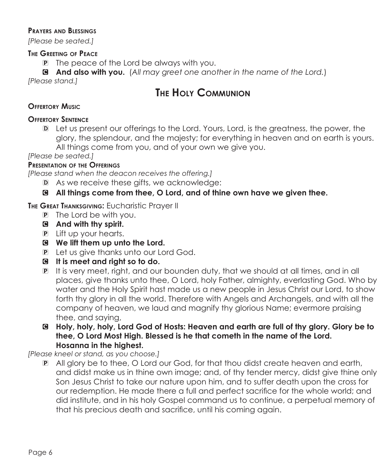#### **Prayers and Blessings**

*[Please be seated.]*

#### **The Greeting of Peace**

P The peace of the Lord be always with you.

C **And also with you.** (*All may greet one another in the name of the Lord.*) *[Please stand.]*

# **The Holy Communion**

#### **Offertory Music**

#### **Offertory Sentence**

D Let us present our offerings to the Lord. Yours, Lord, is the greatness, the power, the glory, the splendour, and the majesty; for everything in heaven and on earth is yours. All things come from you, and of your own we give you.

*[Please be seated.]*

#### **Presentation of the Offerings**

*[Please stand when the deacon receives the offering.]*

- D As we receive these gifts, we acknowledge:
- C **All things come from thee, O Lord, and of thine own have we given thee.**

**The Great Thanksgiving:** Eucharistic Prayer II

- P The Lord be with you.
- C **And with thy spirit.**
- P Lift up your hearts.
- C **We lift them up unto the Lord.**
- P Let us give thanks unto our Lord God.
- C **It is meet and right so to do.**
- P It is very meet, right, and our bounden duty, that we should at all times, and in all places, give thanks unto thee, O Lord, holy Father, almighty, everlasting God. Who by water and the Holy Spirit hast made us a new people in Jesus Christ our Lord, to show forth thy glory in all the world. Therefore with Angels and Archangels, and with all the company of heaven, we laud and magnify thy glorious Name; evermore praising thee, and saying,
- C **Holy, holy, holy, Lord God of Hosts: Heaven and earth are full of thy glory. Glory be to thee, O Lord Most High. Blessed is he that cometh in the name of the Lord. Hosanna in the highest.**

*[Please kneel or stand, as you choose.]*

P All glory be to thee, O Lord our God, for that thou didst create heaven and earth, and didst make us in thine own image; and, of thy tender mercy, didst give thine only Son Jesus Christ to take our nature upon him, and to suffer death upon the cross for our redemption. He made there a full and perfect sacrifice for the whole world; and did institute, and in his holy Gospel command us to continue, a perpetual memory of that his precious death and sacrifice, until his coming again.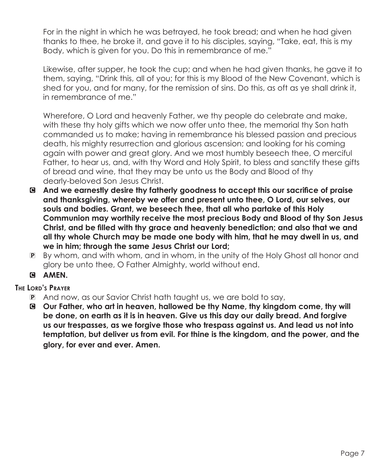For in the night in which he was betrayed, he took bread; and when he had given thanks to thee, he broke it, and gave it to his disciples, saying, "Take, eat, this is my Body, which is given for you. Do this in remembrance of me."

Likewise, after supper, he took the cup; and when he had given thanks, he gave it to them, saying, "Drink this, all of you; for this is my Blood of the New Covenant, which is shed for you, and for many, for the remission of sins. Do this, as oft as ye shall drink it, in remembrance of me."

 Wherefore, O Lord and heavenly Father, we thy people do celebrate and make, with these thy holy gifts which we now offer unto thee, the memorial thy Son hath commanded us to make; having in remembrance his blessed passion and precious death, his mighty resurrection and glorious ascension; and looking for his coming again with power and great glory. And we most humbly beseech thee, O merciful Father, to hear us, and, with thy Word and Holy Spirit, to bless and sanctify these gifts of bread and wine, that they may be unto us the Body and Blood of thy dearly-beloved Son Jesus Christ.

- C **And we earnestly desire thy fatherly goodness to accept this our sacrifice of praise and thanksgiving, whereby we offer and present unto thee, O Lord, our selves, our souls and bodies. Grant, we beseech thee, that all who partake of this Holy Communion may worthily receive the most precious Body and Blood of thy Son Jesus Christ, and be filled with thy grace and heavenly benediction; and also that we and all thy whole Church may be made one body with him, that he may dwell in us, and we in him; through the same Jesus Christ our Lord;**
- P By whom, and with whom, and in whom, in the unity of the Holy Ghost all honor and glory be unto thee, O Father Almighty, world without end.
- C **AMEN.**

## **The Lord's Prayer**

- P And now, as our Savior Christ hath taught us, we are bold to say,
- C **Our Father, who art in heaven, hallowed be thy Name, thy kingdom come, thy will be done, on earth as it is in heaven. Give us this day our daily bread. And forgive us our trespasses, as we forgive those who trespass against us. And lead us not into temptation, but deliver us from evil. For thine is the kingdom, and the power, and the glory, for ever and ever. Amen.**